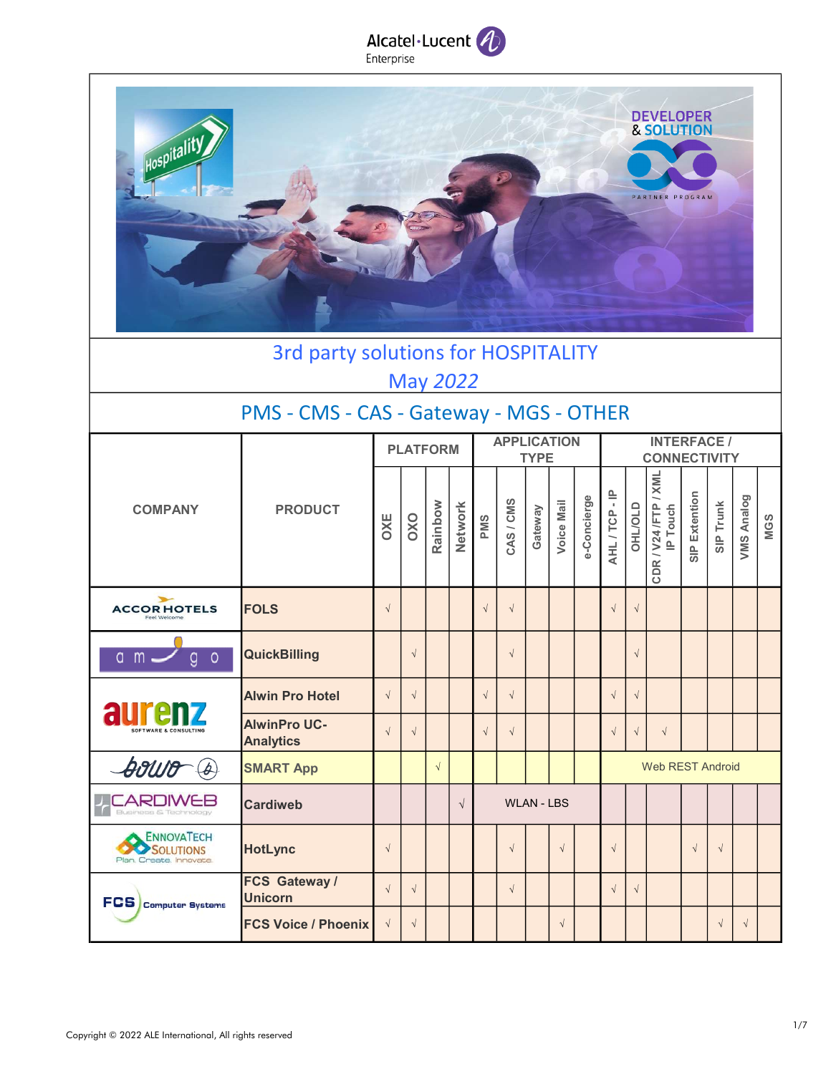



### 3rd party solutions for HOSPITALITY May 2022

### PMS - CMS - CAS - Gateway - MGS - OTHER

|                                                     |                                         |            | <b>PLATFORM</b> |            |            | <b>APPLICATION</b><br><b>TYPE</b> |            |                   |            |             |                         |               |                                       |               |            |            |            |  |
|-----------------------------------------------------|-----------------------------------------|------------|-----------------|------------|------------|-----------------------------------|------------|-------------------|------------|-------------|-------------------------|---------------|---------------------------------------|---------------|------------|------------|------------|--|
| <b>COMPANY</b>                                      | <b>PRODUCT</b>                          | <b>OXE</b> | OXO             | Rainbow    | Network    | PMS                               | CAS/CMS    | Gateway           | Voice Mail | e-Concierge | AHL/TCP-IP              | <b>OHLOLD</b> | / XML<br>CDR / V24 /FTP /<br>IP Touch | SIP Extention | SIP Trunk  | VMS Analog | <b>MGS</b> |  |
| $\rightarrow$<br><b>ACCORHOTELS</b><br>Feel Welcome | <b>FOLS</b>                             | $\sqrt{2}$ |                 |            |            | $\sqrt{ }$                        | $\sqrt{ }$ |                   |            |             | $\sqrt{ }$              | $\sqrt{2}$    |                                       |               |            |            |            |  |
| $\circ$<br>$a$ m $-$<br>g                           | <b>QuickBilling</b>                     |            | $\sqrt{ }$      |            |            |                                   | $\sqrt{ }$ |                   |            |             |                         |               |                                       |               |            |            |            |  |
| aurenz<br><b>SOFTWARE &amp; CONSULTING</b>          | <b>Alwin Pro Hotel</b>                  | $\sqrt{ }$ | $\sqrt{ }$      |            |            | $\sqrt{ }$                        | $\sqrt{ }$ |                   |            |             | $\sqrt{ }$              | $\sqrt{ }$    |                                       |               |            |            |            |  |
|                                                     | <b>AlwinPro UC-</b><br><b>Analytics</b> |            | $\sqrt{ }$      |            |            | $\sqrt{ }$                        | $\sqrt{ }$ |                   |            |             | $\sqrt{ }$              | $\sqrt{ }$    | $\sqrt{ }$                            |               |            |            |            |  |
| <b>Souro</b> (A)                                    | <b>SMART App</b>                        |            |                 | $\sqrt{ }$ |            |                                   |            |                   |            |             | <b>Web REST Android</b> |               |                                       |               |            |            |            |  |
| <b>CARDIWEB</b><br>$\top$<br>Business & Technology  | <b>Cardiweb</b>                         |            |                 |            | $\sqrt{ }$ |                                   |            | <b>WLAN - LBS</b> |            |             |                         |               |                                       |               |            |            |            |  |
| ENNOVATECH<br>SOLUTIONS<br>Plan, Create, Innovate.  | <b>HotLync</b>                          | $\sqrt{ }$ |                 |            |            |                                   | $\sqrt{ }$ |                   | $\sqrt{ }$ |             | $\sqrt{ }$              |               |                                       | $\sqrt{ }$    | $\sqrt{ }$ |            |            |  |
| FCS Computer Systems                                | FCS Gateway /<br><b>Unicorn</b>         | $\sqrt{ }$ | $\sqrt{ }$      |            |            |                                   | $\sqrt{ }$ |                   |            |             | $\sqrt{ }$              | $\sqrt{ }$    |                                       |               |            |            |            |  |
|                                                     | <b>FCS Voice / Phoenix</b>              |            | $\sqrt{ }$      |            |            |                                   |            |                   | $\sqrt{ }$ |             |                         |               |                                       |               | $\sqrt{ }$ | $\sqrt{ }$ |            |  |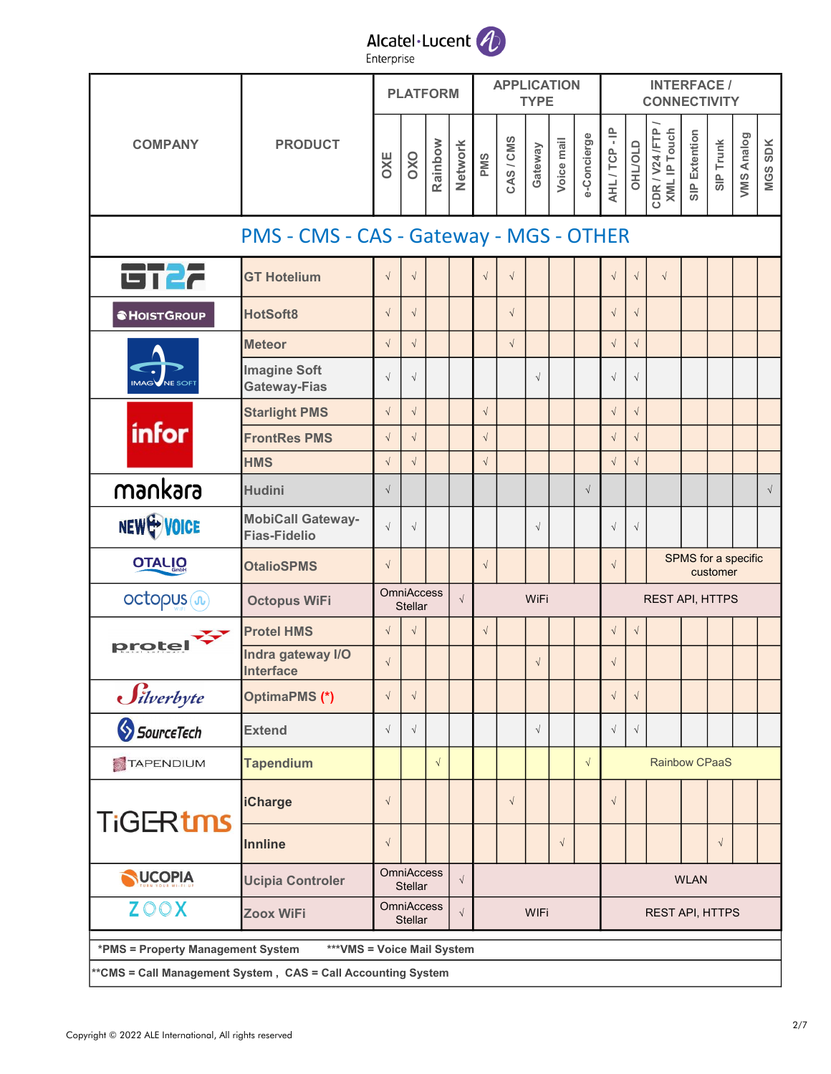#### Alcatel·Lucent 4 Enterprise

PLATFORM **APPLICATION** INTERFACE / TYPE **CONNECTIVITY** OXE<br>
OXO<br>
Rainbow<br>
Network<br>
CAS / CMS<br>
CAS / CMS<br>
Gateway<br>
Voice mail<br>
Voice mail<br>
AHL / TCP - IP<br>
OHL/OLD<br>
CDR / V24 /FTP /<br>
SIP Extention<br>SIP Trunk<br>
SIP Trunk<br>
VMS Analog<br>
VMS Analog COMPANY PRODUCT PMS - CMS - CAS - Gateway - MGS - OTHER 6122 GT Hotelium │ √ │ √ │ │ │ √ │ √ │ │ │ │ √ │ √ │ √ HotSoft8 √ √ √ √ √ **SHOISTGROUP** Meteor │ √ │ √ │ │ │ √ │ │ │ │ √ │ √ │ Imagine Soft √ √ √ √ √ Gateway-Fias Starlight PMS │ √ │ │ │ √ │ │ │ │ │ │ √ │ √ infor FrontRes PMS │ √ │ │ │ │ │ │ │ │ │ √ │ √ HMS √ √ √ √ √ MKara Hudini √ │ │ │ │ │ │ │ │ │ │ │ │ │ │ NEW WOICE MobiCall Gateway-√ √ √ √ √ Fias-Fidelio SPMS for a specific **OTALIO** OtalioSPMS │ √ │ │ │ √ │ │ │ │ √ customer **OmniAccess** octopus (n) Octopus WiFi  $\begin{array}{c|c}\n\hline\n\end{array}$  ∪mniaccess  $\begin{array}{c}\n\sqrt{2} \\
\sqrt{2}\n\end{array}$ WIFI | REST API, HTTPS **Stellar** Protel HMS √ √ √ √ √ protel Indra gateway I/O Interface  $\begin{bmatrix} \vee \\ \vee \end{bmatrix}$   $\begin{bmatrix} \vee \\ \vee \end{bmatrix}$   $\begin{bmatrix} \vee \\ \vee \end{bmatrix}$   $\begin{bmatrix} \vee \\ \vee \end{bmatrix}$ Silverbyte OptimaPMS (\*) │ √ │ √ │ │ │ │ │ │ │ │ √ │ √ SpurceTech Extend √ √ │ │ │ │ │ │ │ │ √ │ Tapendium │ │ │ √ │ │ │ │ │ √ TAPENDIUM Rainbow CPaaS iCharge │ √ │ │ │ │ √ │ │ │ √ **TiGERtms** Innline √ √ √ **OmniAccess** NUCOPIA Ucipia Controler  $\left| \begin{array}{c} \text{UninAccess} \\ \text{Stellar} \end{array} \right| \sqrt{2}$ WLAN **Stellar OmniAccess ZOOX**  $\begin{array}{ccc} \text{Zoox} \text{ WiFi} & \text{Omn} \end{array}$ WIFI | REST API, HTTPS **Stellar**  \*PMS = Property Management System \*\*\*VMS = Voice Mail System \*\*CMS = Call Management System , CAS = Call Accounting System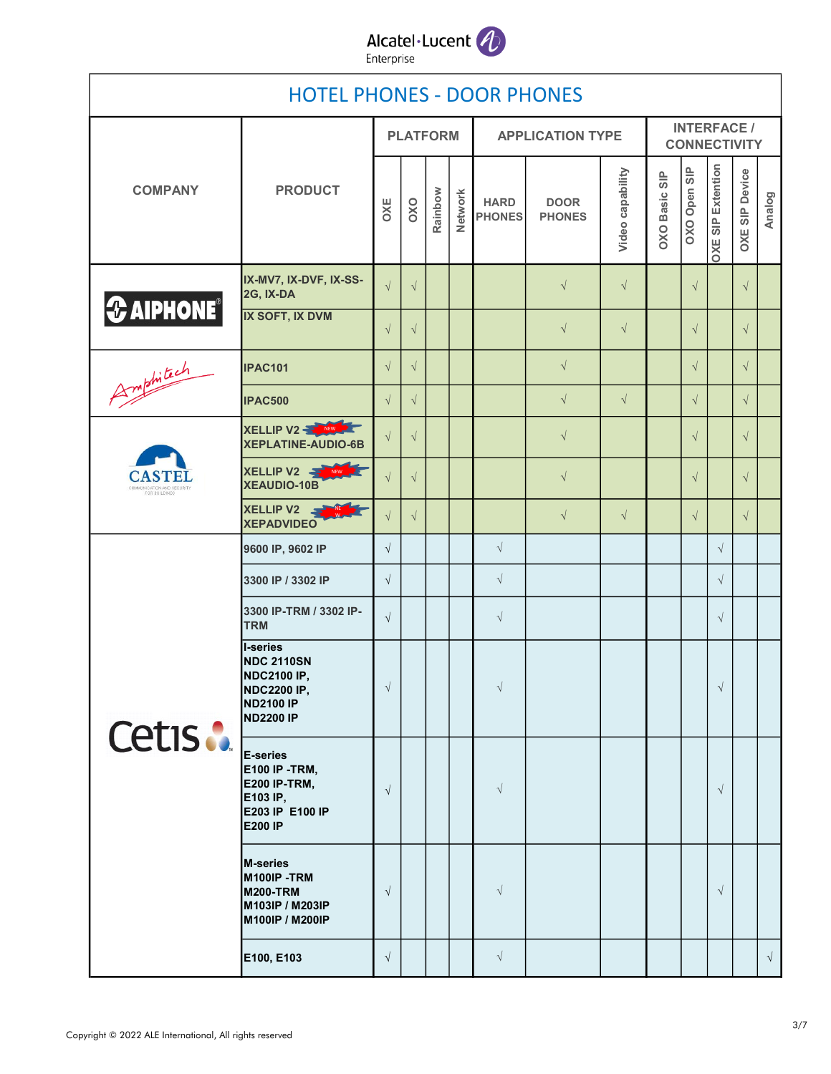

|                                                              | <b>HOTEL PHONES - DOOR PHONES</b>                                                                                 |            |                 |         |                |                              |                              |                  |                                           |              |                          |                |            |  |
|--------------------------------------------------------------|-------------------------------------------------------------------------------------------------------------------|------------|-----------------|---------|----------------|------------------------------|------------------------------|------------------|-------------------------------------------|--------------|--------------------------|----------------|------------|--|
|                                                              |                                                                                                                   |            | <b>PLATFORM</b> |         |                |                              | <b>APPLICATION TYPE</b>      |                  | <b>INTERFACE /</b><br><b>CONNECTIVITY</b> |              |                          |                |            |  |
| <b>COMPANY</b>                                               | <b>PRODUCT</b>                                                                                                    | OXE        | OXO             | Rainbow | <b>Network</b> | <b>HARD</b><br><b>PHONES</b> | <b>DOOR</b><br><b>PHONES</b> | Video capability | <b>OXO Basic SIP</b>                      | OXO Open SIP | <b>OXE SIP Extention</b> | OXE SIP Device | Analog     |  |
| $\bigotimes$ AIPHONE <sup>®</sup>                            | IX-MV7, IX-DVF, IX-SS-<br>2G, IX-DA                                                                               | $\sqrt{ }$ | $\sqrt{}$       |         |                |                              | $\sqrt{}$                    | $\sqrt{ }$       |                                           | $\sqrt{ }$   |                          | $\sqrt{ }$     |            |  |
|                                                              | <b>IX SOFT, IX DVM</b>                                                                                            | $\sqrt{}$  | $\sqrt{ }$      |         |                |                              | $\sqrt{ }$                   | $\sqrt{ }$       |                                           | $\sqrt{ }$   |                          | $\sqrt{ }$     |            |  |
| Amphitech                                                    | <b>IPAC101</b>                                                                                                    | $\sqrt{ }$ | $\sqrt{ }$      |         |                |                              | $\sqrt{}$                    |                  |                                           | $\sqrt{ }$   |                          | $\sqrt{ }$     |            |  |
|                                                              | <b>IPAC500</b>                                                                                                    | $\sqrt{}$  | $\sqrt{ }$      |         |                |                              | $\sqrt{ }$                   | $\sqrt{ }$       |                                           | $\sqrt{ }$   |                          | $\sqrt{ }$     |            |  |
|                                                              | XELLIP V2<br>XEPLATINE-AUDIO-6B                                                                                   | $\sqrt{}$  | $\sqrt{}$       |         |                |                              | $\sqrt{ }$                   |                  |                                           | $\sqrt{ }$   |                          | $\sqrt{ }$     |            |  |
| <b>CASTEI</b><br>COMMUNICATION AND SECURITY<br>FOR BUILDINGS | XELLIP V2<br>NEW 24<br>XEAUDIO-10B                                                                                | $\sqrt{ }$ | $\sqrt{}$       |         |                |                              | $\sqrt{ }$                   |                  |                                           | $\sqrt{ }$   |                          | $\sqrt{}$      |            |  |
|                                                              | XELLIP V2 STATE<br><b>XEPADVIDEO</b>                                                                              | $\sqrt{ }$ | $\sqrt{ }$      |         |                |                              | $\sqrt{ }$                   | $\sqrt{ }$       |                                           | $\sqrt{ }$   |                          | $\sqrt{ }$     |            |  |
|                                                              | 9600 IP, 9602 IP                                                                                                  | $\sqrt{}$  |                 |         |                | $\sqrt{}$                    |                              |                  |                                           |              | $\sqrt{ }$               |                |            |  |
|                                                              | 3300 IP / 3302 IP                                                                                                 | $\sqrt{}$  |                 |         |                | $\sqrt{ }$                   |                              |                  |                                           |              | $\sqrt{ }$               |                |            |  |
|                                                              | 3300 IP-TRM / 3302 IP-<br><b>TRM</b>                                                                              | $\sqrt{ }$ |                 |         |                | $\sqrt{ }$                   |                              |                  |                                           |              | $\sqrt{ }$               |                |            |  |
| Cetis :                                                      | I-series<br><b>NDC 2110SN</b><br><b>NDC2100 IP,</b><br><b>NDC2200 IP,</b><br><b>ND2100 IP</b><br><b>ND2200 IP</b> | $\sqrt{2}$ |                 |         |                | $\sqrt{}$                    |                              |                  |                                           |              | $\sqrt{}$                |                |            |  |
|                                                              | E-series<br><b>E100 IP -TRM,</b><br><b>E200 IP-TRM,</b><br>E103 IP,<br>E203 IP E100 IP<br><b>E200 IP</b>          | $\sqrt{ }$ |                 |         |                | $\sqrt{ }$                   |                              |                  |                                           |              | $\sqrt{ }$               |                |            |  |
|                                                              | <b>M-series</b><br>M100IP-TRM<br><b>M200-TRM</b><br>M103IP / M203IP<br>M100IP / M200IP                            | $\sqrt{ }$ |                 |         |                | $\sqrt{ }$                   |                              |                  |                                           |              | $\sqrt{ }$               |                |            |  |
|                                                              | E100, E103                                                                                                        | $\sqrt{ }$ |                 |         |                | $\sqrt{ }$                   |                              |                  |                                           |              |                          |                | $\sqrt{ }$ |  |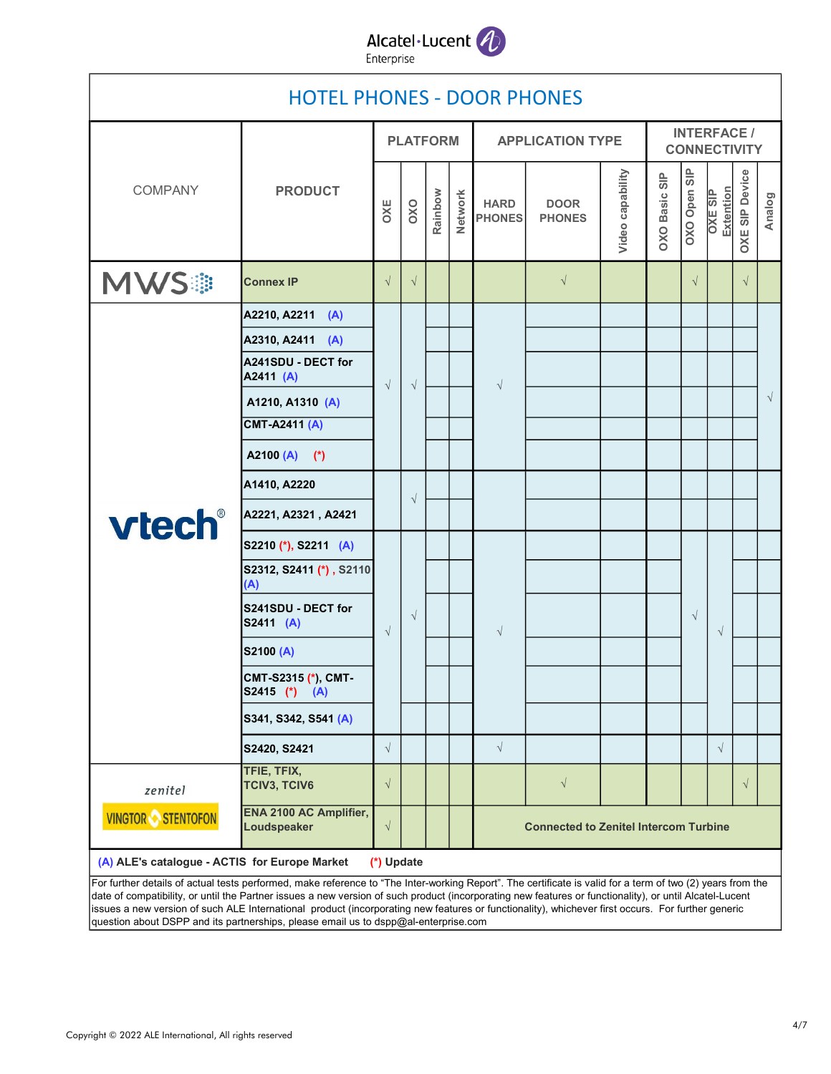

|                                                                                                                                                                                                                                                                                                                                                                                                                                                                            | <b>HOTEL PHONES - DOOR PHONES</b>        |            |                 |         |         |                                              |                              |                                           |                      |              |                             |                       |           |  |  |
|----------------------------------------------------------------------------------------------------------------------------------------------------------------------------------------------------------------------------------------------------------------------------------------------------------------------------------------------------------------------------------------------------------------------------------------------------------------------------|------------------------------------------|------------|-----------------|---------|---------|----------------------------------------------|------------------------------|-------------------------------------------|----------------------|--------------|-----------------------------|-----------------------|-----------|--|--|
|                                                                                                                                                                                                                                                                                                                                                                                                                                                                            | <b>PRODUCT</b>                           |            | <b>PLATFORM</b> |         |         |                                              | <b>APPLICATION TYPE</b>      | <b>INTERFACE /</b><br><b>CONNECTIVITY</b> |                      |              |                             |                       |           |  |  |
| COMPANY                                                                                                                                                                                                                                                                                                                                                                                                                                                                    |                                          |            | OXO             | Rainbow | Network | <b>HARD</b><br><b>PHONES</b>                 | <b>DOOR</b><br><b>PHONES</b> | Video capability                          | <b>DXO Basic SIP</b> | OXO Open SIP | Extention<br><b>OXE SIP</b> | <b>OXE SIP Device</b> | Analog    |  |  |
| <b>MWS#</b>                                                                                                                                                                                                                                                                                                                                                                                                                                                                | <b>Connex IP</b>                         | $\sqrt{}$  | $\sqrt{ }$      |         |         |                                              | $\sqrt{ }$                   |                                           |                      | $\sqrt{ }$   |                             | $\sqrt{ }$            |           |  |  |
|                                                                                                                                                                                                                                                                                                                                                                                                                                                                            | A2210, A2211 (A)                         |            |                 |         |         |                                              |                              |                                           |                      |              |                             |                       |           |  |  |
|                                                                                                                                                                                                                                                                                                                                                                                                                                                                            | A2310, A2411 (A)                         |            |                 |         |         |                                              |                              |                                           |                      |              |                             |                       |           |  |  |
|                                                                                                                                                                                                                                                                                                                                                                                                                                                                            | A241SDU - DECT for<br>A2411 (A)          | $\sqrt{ }$ | $\sqrt{ }$      |         |         | $\sqrt{ }$                                   |                              |                                           |                      |              |                             |                       |           |  |  |
|                                                                                                                                                                                                                                                                                                                                                                                                                                                                            | A1210, A1310 (A)                         |            |                 |         |         |                                              |                              |                                           |                      |              |                             |                       | $\sqrt{}$ |  |  |
|                                                                                                                                                                                                                                                                                                                                                                                                                                                                            | <b>CMT-A2411 (A)</b>                     |            |                 |         |         |                                              |                              |                                           |                      |              |                             |                       |           |  |  |
| vtech®                                                                                                                                                                                                                                                                                                                                                                                                                                                                     | A2100 (A) (*)                            |            |                 |         |         |                                              |                              |                                           |                      |              |                             |                       |           |  |  |
|                                                                                                                                                                                                                                                                                                                                                                                                                                                                            | A1410, A2220                             |            |                 |         |         |                                              |                              |                                           |                      |              |                             |                       |           |  |  |
|                                                                                                                                                                                                                                                                                                                                                                                                                                                                            | A2221, A2321, A2421                      |            | $\sqrt{}$       |         |         |                                              |                              |                                           |                      |              |                             |                       |           |  |  |
|                                                                                                                                                                                                                                                                                                                                                                                                                                                                            | S2210 (*), S2211 (A)                     | $\sqrt{}$  |                 |         |         |                                              |                              |                                           |                      |              |                             |                       |           |  |  |
|                                                                                                                                                                                                                                                                                                                                                                                                                                                                            | S2312, S2411 (*), S2110<br>(A)           |            |                 |         |         |                                              |                              |                                           |                      |              |                             |                       |           |  |  |
|                                                                                                                                                                                                                                                                                                                                                                                                                                                                            | S241SDU - DECT for<br>S2411 (A)          |            | $\sqrt{ }$      |         |         | $\sqrt{ }$                                   |                              |                                           |                      | $\sqrt{ }$   | $\sqrt{ }$                  |                       |           |  |  |
|                                                                                                                                                                                                                                                                                                                                                                                                                                                                            | S2100 (A)                                |            |                 |         |         |                                              |                              |                                           |                      |              |                             |                       |           |  |  |
|                                                                                                                                                                                                                                                                                                                                                                                                                                                                            | CMT-S2315 (*), CMT-<br>$ S2415 (*) (A) $ |            |                 |         |         |                                              |                              |                                           |                      |              |                             |                       |           |  |  |
|                                                                                                                                                                                                                                                                                                                                                                                                                                                                            | S341, S342, S541 (A)                     |            |                 |         |         |                                              |                              |                                           |                      |              |                             |                       |           |  |  |
|                                                                                                                                                                                                                                                                                                                                                                                                                                                                            | S2420, S2421                             | $\sqrt{}$  |                 |         |         | $\sqrt{}$                                    |                              |                                           |                      |              | $\sqrt{ }$                  |                       |           |  |  |
| zenitel                                                                                                                                                                                                                                                                                                                                                                                                                                                                    | TFIE, TFIX,<br><b>TCIV3, TCIV6</b>       | $\sqrt{ }$ |                 |         |         |                                              | $\sqrt{ }$                   |                                           |                      |              |                             | $\sqrt{ }$            |           |  |  |
| <b>VINGTOR STENTOFON</b>                                                                                                                                                                                                                                                                                                                                                                                                                                                   | ENA 2100 AC Amplifier,<br>Loudspeaker    | $\sqrt{}$  |                 |         |         | <b>Connected to Zenitel Intercom Turbine</b> |                              |                                           |                      |              |                             |                       |           |  |  |
| (A) ALE's catalogue - ACTIS for Europe Market                                                                                                                                                                                                                                                                                                                                                                                                                              |                                          | (*) Update |                 |         |         |                                              |                              |                                           |                      |              |                             |                       |           |  |  |
| For further details of actual tests performed, make reference to "The Inter-working Report". The certificate is valid for a term of two (2) years from the<br>date of compatibility, or until the Partner issues a new version of such product (incorporating new features or functionality), or until Alcatel-Lucent<br>issues a new version of such ALE International product (incorporating new features or functionality), whichever first occurs. For further generic |                                          |            |                 |         |         |                                              |                              |                                           |                      |              |                             |                       |           |  |  |

question about DSPP and its partnerships, please email us to dspp@al-enterprise.com

Г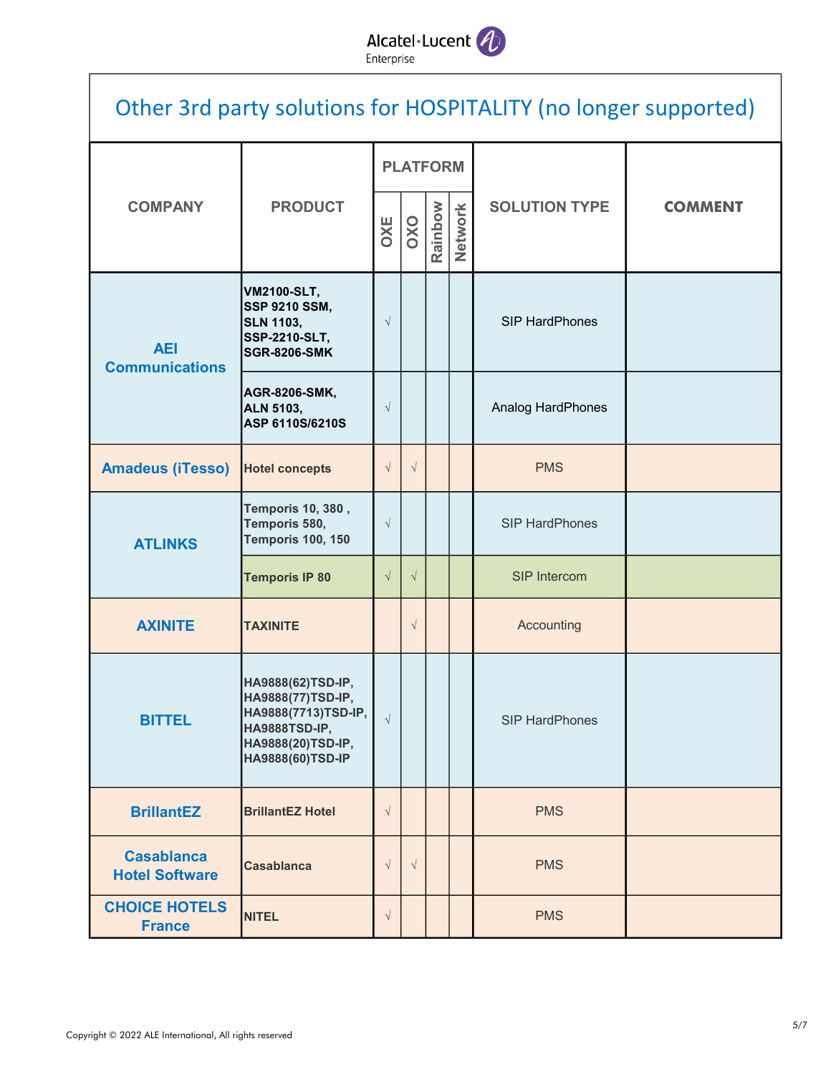## Alcatel·Lucent

| Other 3rd party solutions for HOSPITALITY (no longer supported) |                                                                                                                         |            |                 |         |         |                       |                |  |  |  |  |
|-----------------------------------------------------------------|-------------------------------------------------------------------------------------------------------------------------|------------|-----------------|---------|---------|-----------------------|----------------|--|--|--|--|
|                                                                 |                                                                                                                         |            | <b>PLATFORM</b> |         |         |                       |                |  |  |  |  |
| <b>COMPANY</b>                                                  | <b>PRODUCT</b>                                                                                                          | <b>OXE</b> | OXO             | Rainbow | Network | <b>SOLUTION TYPE</b>  | <b>COMMENT</b> |  |  |  |  |
| <b>AEI</b><br><b>Communications</b>                             | <b>VM2100-SLT,</b><br><b>SSP 9210 SSM,</b><br><b>SLN 1103,</b><br><b>SSP-2210-SLT,</b><br><b>SGR-8206-SMK</b>           | $\sqrt{}$  |                 |         |         | <b>SIP HardPhones</b> |                |  |  |  |  |
|                                                                 | <b>AGR-8206-SMK,</b><br><b>ALN 5103,</b><br>ASP 6110S/6210S                                                             | $\sqrt{}$  |                 |         |         | Analog HardPhones     |                |  |  |  |  |
| <b>Amadeus (iTesso)</b>                                         | <b>Hotel concepts</b>                                                                                                   | $\sqrt{}$  | $\sqrt{ }$      |         |         | <b>PMS</b>            |                |  |  |  |  |
| <b>ATLINKS</b>                                                  | <b>Temporis 10, 380,</b><br>Temporis 580,<br><b>Temporis 100, 150</b>                                                   | $\sqrt{}$  |                 |         |         | <b>SIP HardPhones</b> |                |  |  |  |  |
|                                                                 | <b>Temporis IP 80</b>                                                                                                   | $\sqrt{}$  | $\sqrt{}$       |         |         | SIP Intercom          |                |  |  |  |  |
| <b>AXINITE</b>                                                  | <b>TAXINITE</b>                                                                                                         |            | $\sqrt{}$       |         |         | Accounting            |                |  |  |  |  |
| <b>BITTEL</b>                                                   | HA9888(62)TSD-IP,<br>HA9888(77)TSD-IP,<br>HA9888(7713)TSD-IP,<br>HA9888TSD-IP,<br>HA9888(20)TSD-IP,<br>HA9888(60)TSD-IP | $\sqrt{}$  |                 |         |         | <b>SIP HardPhones</b> |                |  |  |  |  |
| <b>BrillantEZ</b>                                               | <b>BrillantEZ Hotel</b>                                                                                                 | $\sqrt{}$  |                 |         |         | <b>PMS</b>            |                |  |  |  |  |
| <b>Casablanca</b><br><b>Hotel Software</b>                      | <b>Casablanca</b>                                                                                                       | $\sqrt{}$  | $\sqrt{ }$      |         |         | <b>PMS</b>            |                |  |  |  |  |
| <b>CHOICE HOTELS</b><br><b>France</b>                           | <b>NITEL</b>                                                                                                            | $\sqrt{}$  |                 |         |         | <b>PMS</b>            |                |  |  |  |  |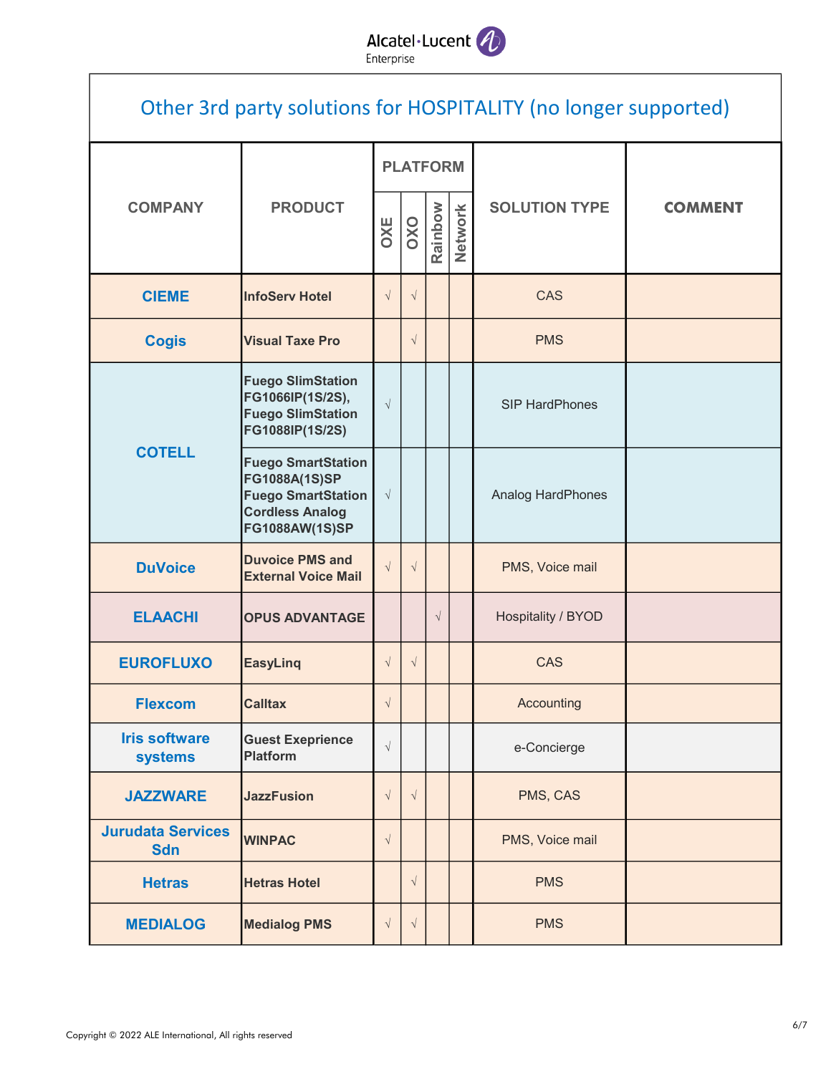# Alcatel·Lucent

| Other 3rd party solutions for HOSPITALITY (no longer supported) |                                                                                                                     |            |                 |           |         |                          |                |  |  |  |  |  |
|-----------------------------------------------------------------|---------------------------------------------------------------------------------------------------------------------|------------|-----------------|-----------|---------|--------------------------|----------------|--|--|--|--|--|
|                                                                 |                                                                                                                     |            | <b>PLATFORM</b> |           |         |                          |                |  |  |  |  |  |
| <b>COMPANY</b>                                                  | <b>PRODUCT</b>                                                                                                      | <b>OXE</b> | OXO             | Rainbow   | Network | <b>SOLUTION TYPE</b>     | <b>COMMENT</b> |  |  |  |  |  |
| <b>CIEME</b>                                                    | <b>InfoServ Hotel</b>                                                                                               | $\sqrt{}$  | $\sqrt{}$       |           |         | CAS                      |                |  |  |  |  |  |
| <b>Cogis</b>                                                    | <b>Visual Taxe Pro</b>                                                                                              |            | $\sqrt{}$       |           |         | <b>PMS</b>               |                |  |  |  |  |  |
|                                                                 | <b>Fuego SlimStation</b><br>FG1066IP(1S/2S),<br><b>Fuego SlimStation</b><br>FG1088IP(1S/2S)                         | $\sqrt{}$  |                 |           |         | <b>SIP HardPhones</b>    |                |  |  |  |  |  |
| <b>COTELL</b>                                                   | <b>Fuego SmartStation</b><br>FG1088A(1S)SP<br><b>Fuego SmartStation</b><br><b>Cordless Analog</b><br>FG1088AW(1S)SP | $\sqrt{}$  |                 |           |         | <b>Analog HardPhones</b> |                |  |  |  |  |  |
| <b>DuVoice</b>                                                  | <b>Duvoice PMS and</b><br><b>External Voice Mail</b>                                                                | $\sqrt{ }$ | $\sqrt{ }$      |           |         | PMS, Voice mail          |                |  |  |  |  |  |
| <b>ELAACHI</b>                                                  | <b>OPUS ADVANTAGE</b>                                                                                               |            |                 | $\sqrt{}$ |         | Hospitality / BYOD       |                |  |  |  |  |  |
| <b>EUROFLUXO</b>                                                | <b>EasyLing</b>                                                                                                     | $\sqrt{}$  | $\sqrt{}$       |           |         | CAS                      |                |  |  |  |  |  |
| <b>Flexcom</b>                                                  | <b>Calltax</b>                                                                                                      | $\sqrt{}$  |                 |           |         | Accounting               |                |  |  |  |  |  |
| <b>Iris software</b><br><b>systems</b>                          | <b>Guest Exeprience</b><br><b>Platform</b>                                                                          | $\sqrt{}$  |                 |           |         | e-Concierge              |                |  |  |  |  |  |
| <b>JAZZWARE</b>                                                 | <b>JazzFusion</b>                                                                                                   | $\sqrt{}$  | $\sqrt{}$       |           |         | PMS, CAS                 |                |  |  |  |  |  |
| <b>Jurudata Services</b><br><b>Sdn</b>                          | <b>WINPAC</b>                                                                                                       | $\sqrt{}$  |                 |           |         | PMS, Voice mail          |                |  |  |  |  |  |
| <b>Hetras</b>                                                   | <b>Hetras Hotel</b>                                                                                                 |            | $\sqrt{}$       |           |         | <b>PMS</b>               |                |  |  |  |  |  |
| <b>MEDIALOG</b>                                                 | <b>Medialog PMS</b>                                                                                                 | $\sqrt{}$  | $\sqrt{ }$      |           |         | <b>PMS</b>               |                |  |  |  |  |  |

 $\overline{\phantom{a}}$ 

٦